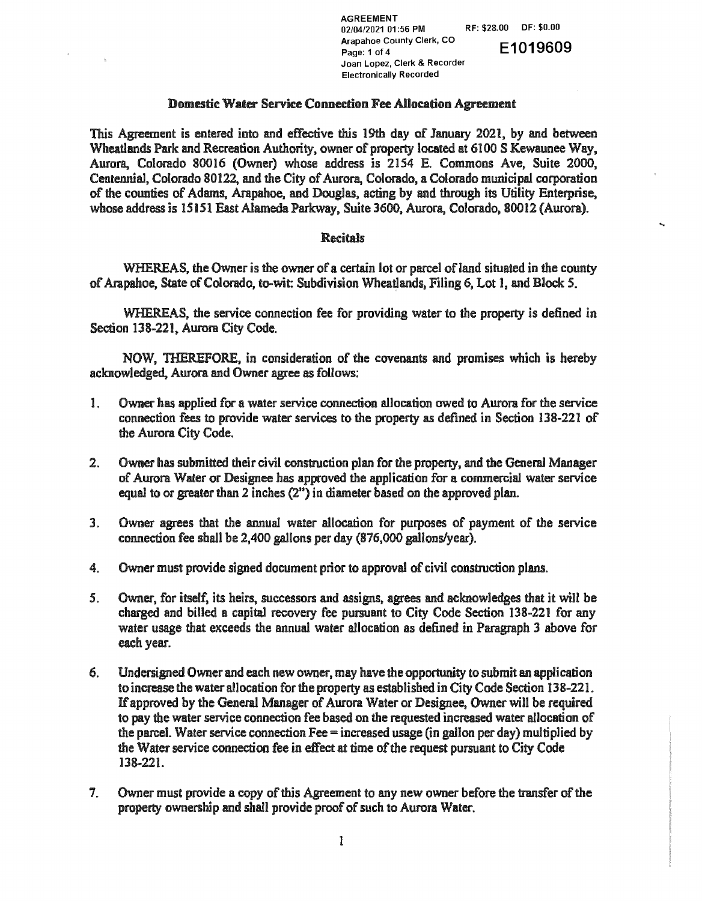**AGREEMENT 02/04/2021 01** :56 **PM Arapahoe County Clerk, CO Page: 1 of 4 Joan Lopez, Clerk & Recorder Electronically Recorded RF: \$28.00 DF: \$0.00 E1019609** 

...

## Domestic Water Service Connection Fee Allocation Agreement

This Agreement is entered into and effective this 19th day of January 2021, by and between Wheatlands Park and Recreation Authority, owner of property located at 6100 S Kewaunee Way. Aurora, Colorado 80016 (Owner) whose address is 2154 E. Commons Ave. Suite 2000, Centennial, Colorado 80122, and the City of Aurora, Colorado, a Colorado municipal corporation of the counties of Adams, Arapahoe, and Douglas, acting by and through its Utility Enterprise, whose address is 15151 East Alameda Parkway, Suite 3600, Aurora, Colorado, 80012 (Aurora).

## **Recitals**

WHEREAS, the Owner is the owner of a certain lot or parcel of land situated in the county of Arapahoe, State of Colorado, to-wit Subdivision Whesthmds, Filing 6, Lot l, and Block *5.* 

**WHEREAS,** the service connection fee for providing water to the property is defined in Section 138-221, Aurora City Code.

NOW, TIIEREFORE, in consideration of the covenants and promises which is hereby acknowledged, Aurora and Owner agree as follows:

- 1. Owner has applied for a water service connection allocation owed to Aurora for the service connection fees to provide water services to the property as defined in Section 138-221 of the Aurora City Code.
- 2. Owner has submitted their civil construction plan for the property, and the General Manager of Aurora Water or Designee has approved the application for a commercial water service equal to or greater than 2 inches (2") in diameter based on the approved plan.
- 3. Owner agrees that the annual water allocation for purposes of payment of the service connection fee shall be 2,400 gallons per day (876,000 gallons/year).
- 4. Owner must provide signed document prior to approval of civil construction plans.
- 5. Owner, for itself, its heirs, successors and assigns, agrees and acknowledges that it will be charged and billed a capital recovery fee pursuant to City Code Section 138-221 for any water usage that exceeds the annual water allocation as defined in Paragraph 3 above for each year.
- 6. Undersigned Owner and each new owner, may have the opportunity to submit an application to increase the water allocation for the property as established in City Code Section 138-221. If approved by the General Manager of Aurora Water or Designee, Owner will be required to pay the water service connection fee based on the requested increased water allocation of the parcel. Water service connection Fee = increased usage (in gallon per day) multiplied by the Water service connection fee in effect at time of the request pursumnt to City Code 138-221.
- 7. Owner must provide a copy of this Agreement to any new owner before the transfer of the property ownership and shall provide proof of such to Aurora Water.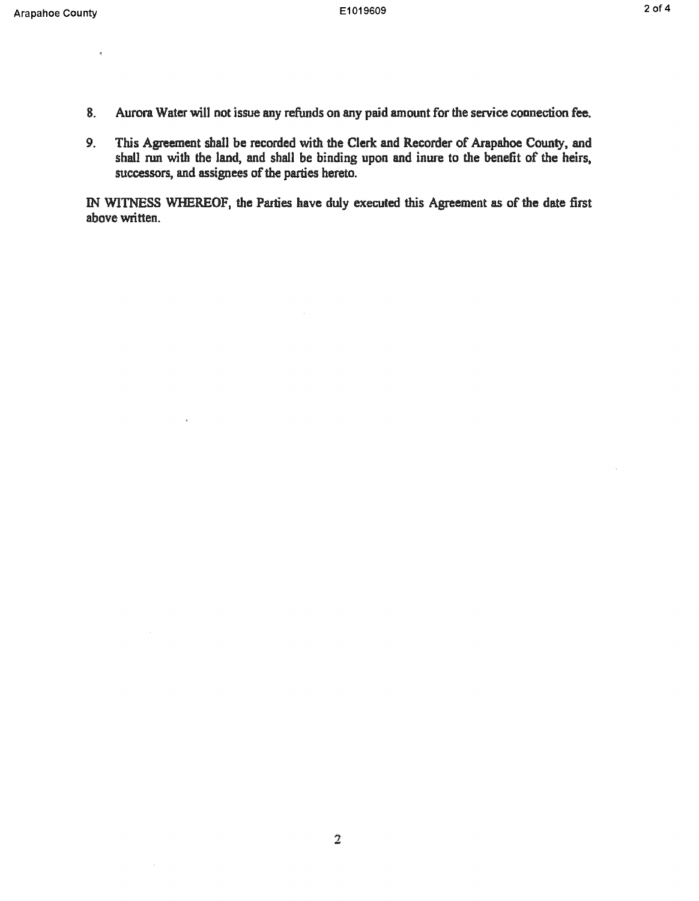- 8. Aurora Water will not issue any refunds on any paid amount for the service connection fee.
- 9. This Agreement shall be recorded with the Clerk and Recorder of Arapahoe County. and shall run with the land, and shall be binding upon and inure to the benefit of the heirs, successors, and assignees of the parties hereto.

IN WITNESS WHEREOF, the Parties have duly executed this Agreement as of the date first above written.

 $\overline{1}$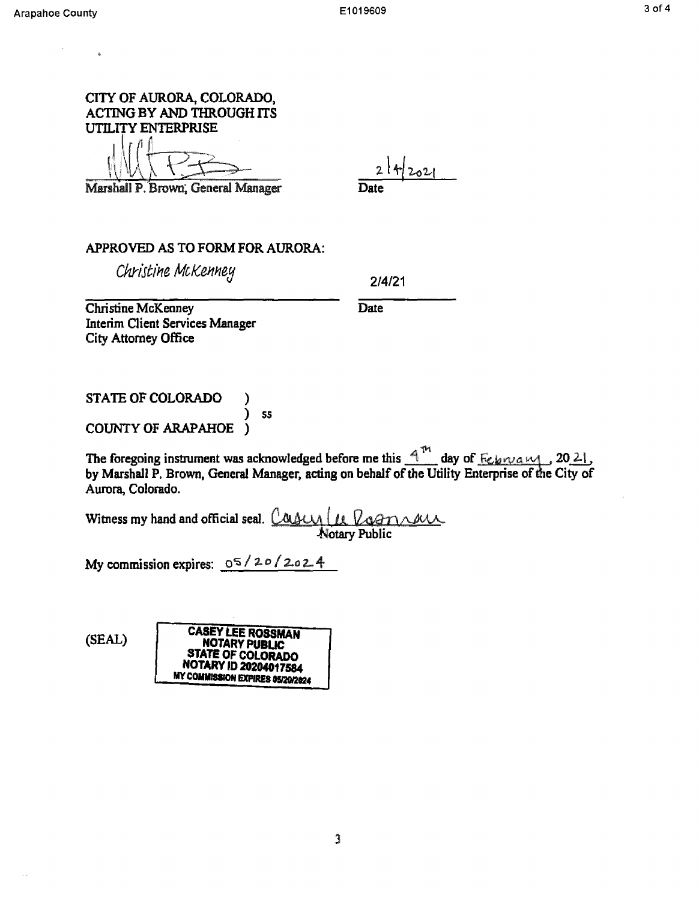| CITY OF AURORA, COLORADO, |  |  |  |
|---------------------------|--|--|--|
| ACTING BY AND THROUGH ITS |  |  |  |
| UTHEY ENTERPRISE          |  |  |  |
| , tra A                   |  |  |  |

Marshall P. Brown, General Manager

|             | 17 2n 21 |
|-------------|----------|
| æ<br>ж<br>ш |          |

## APPROVED AS TO FORM FOR AURORA:

Christine McKenney

 $2/4/21$ 

Christine McKenney **Interim Client Services Manager City Attorney Office** 

**Date** 

STATE OF COLORADO 55 **COUNTY OF ARAPAHOE**  $\lambda$ 

The foregoing instrument was acknowledged before me this  $A^{th}$  day of  $E_{cb} \sim a \sim 20.21$ , by Marshall P. Brown, General Manager, acting on behalf of the Utility Enterprise of the City of Aurora, Colorado.

Witness my hand and official seal. Couse 11 Roam AU

My commission expires:  $05/20/2024$ 

(SEAL)

**CASEY LEE ROSSMAN NOTARY PUBLIC** STATE OF COLORADO NOTARY ID 20204017584 MY COMMISSION EXPIRES 05/20/2024